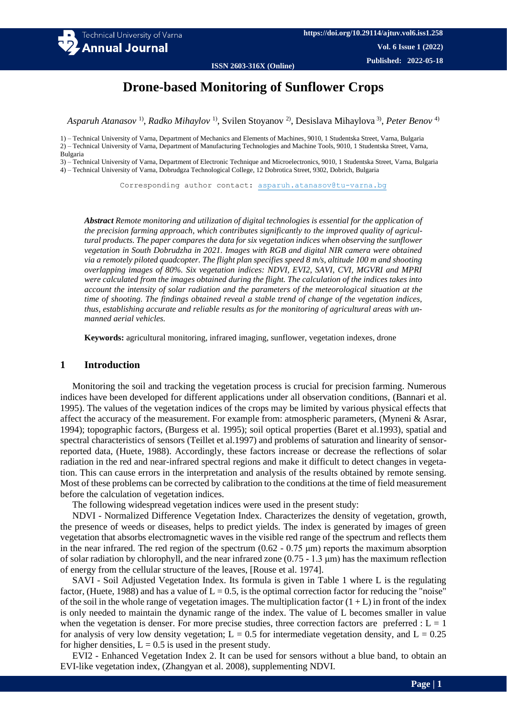

# **Drone-based Monitoring of Sunflower Crops**

*Asparuh Atanasov* 1) , *Radko Mihaylov* 1) , Svilen Stoyanov 2) , Desislava Mihaylova 3) , *Peter Benov* 4)

1) – Technical University of Varna, Department of Mechanics and Elements of Machines, 9010, 1 Studentska Street, Varna, Bulgaria 2) – Technical University of Varna, Department of Manufacturing Technologies and Machine Tools, 9010, 1 Studentska Street, Varna, Bulgaria

3) – Technical University of Varna, Department of Electronic Technique and Microelectronics, 9010, 1 Studentska Street, Varna, Bulgaria 4) – Technical University of Varna, Dobrudgza Technological College, 12 Dobrotica Street, 9302, Dobrich, Bulgaria

Corresponding author contact: asparuh.atanasov@tu-varna.bg

*Abstract Remote monitoring and utilization of digital technologies is essential for the application of the precision farming approach, which contributes significantly to the improved quality of agricultural products. The paper compares the data for six vegetation indices when observing the sunflower vegetation in South Dobrudzha in 2021. Images with RGB and digital NIR camera were obtained via a remotely piloted quadcopter. The flight plan specifies speed 8 m/s, altitude 100 m and shooting overlapping images of 80%. Six vegetation indices: NDVI, EVI2, SAVI, CVI, MGVRI and MPRI were calculated from the images obtained during the flight. The calculation of the indices takes into account the intensity of solar radiation and the parameters of the meteorological situation at the time of shooting. The findings obtained reveal a stable trend of change of the vegetation indices, thus, establishing accurate and reliable results as for the monitoring of agricultural areas with unmanned aerial vehicles.*

**Keywords:** agricultural monitoring, infrared imaging, sunflower, vegetation indexes, drone

### **1 Introduction**

Monitoring the soil and tracking the vegetation process is crucial for precision farming. Numerous indices have been developed for different applications under all observation conditions, (Bannari et al. 1995). The values of the vegetation indices of the crops may be limited by various physical effects that affect the accuracy of the measurement. For example from: atmospheric parameters, (Myneni & Asrar, 1994); topographic factors, (Burgess et al. 1995); soil optical properties (Baret et al.1993), spatial and spectral characteristics of sensors (Teillet et al.1997) and problems of saturation and linearity of sensorreported data, (Huete, 1988). Accordingly, these factors increase or decrease the reflections of solar radiation in the red and near-infrared spectral regions and make it difficult to detect changes in vegetation. This can cause errors in the interpretation and analysis of the results obtained by remote sensing. Most of these problems can be corrected by calibration to the conditions at the time of field measurement before the calculation of vegetation indices.

The following widespread vegetation indices were used in the present study:

NDVI - Normalized Difference Vegetation Index. Characterizes the density of vegetation, growth, the presence of weeds or diseases, helps to predict yields. The index is generated by images of green vegetation that absorbs electromagnetic waves in the visible red range of the spectrum and reflects them in the near infrared. The red region of the spectrum (0.62 - 0.75 μm) reports the maximum absorption of solar radiation by chlorophyll, and the near infrared zone  $(0.75 - 1.3 \,\mu m)$  has the maximum reflection of energy from the cellular structure of the leaves, [Rouse et al. 1974].

SAVI - Soil Adjusted Vegetation Index. Its formula is given in Table 1 where L is the regulating factor, (Huete, 1988) and has a value of  $L = 0.5$ , is the optimal correction factor for reducing the "noise" of the soil in the whole range of vegetation images. The multiplication factor  $(1 + L)$  in front of the index is only needed to maintain the dynamic range of the index. The value of L becomes smaller in value when the vegetation is denser. For more precise studies, three correction factors are preferred :  $L = 1$ for analysis of very low density vegetation;  $L = 0.5$  for intermediate vegetation density, and  $L = 0.25$ for higher densities,  $L = 0.5$  is used in the present study.

EVI2 - Enhanced Vegetation Index 2. It can be used for sensors without a blue band, to obtain an EVI-like vegetation index, (Zhangyan et al. 2008), supplementing NDVI.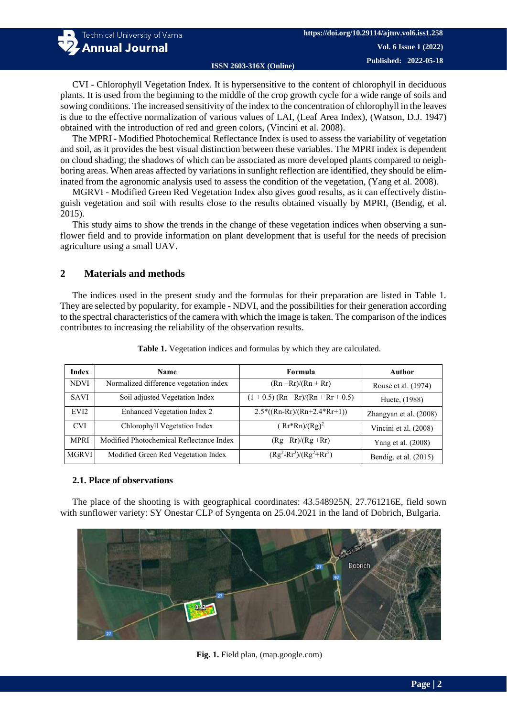Technical University of Varna **Annual Journal** 

CVI - Chlorophyll Vegetation Index. It is hypersensitive to the content of chlorophyll in deciduous plants. It is used from the beginning to the middle of the crop growth cycle for a wide range of soils and sowing conditions. The increased sensitivity of the index to the concentration of chlorophyll in the leaves is due to the effective normalization of various values of LAI, (Leaf Area Index), (Watson, D.J. 1947) obtained with the introduction of red and green colors, (Vincini et al. 2008).

The MPRI - Modified Photochemical Reflectance Index is used to assess the variability of vegetation and soil, as it provides the best visual distinction between these variables. The MPRI index is dependent on cloud shading, the shadows of which can be associated as more developed plants compared to neighboring areas. When areas affected by variations in sunlight reflection are identified, they should be eliminated from the agronomic analysis used to assess the condition of the vegetation, (Yang et al. 2008).

MGRVI - Modified Green Red Vegetation Index also gives good results, as it can effectively distinguish vegetation and soil with results close to the results obtained visually by MPRI, (Bendig, et al. 2015).

This study aims to show the trends in the change of these vegetation indices when observing a sunflower field and to provide information on plant development that is useful for the needs of precision agriculture using a small UAV.

# **2 Materials and methods**

The indices used in the present study and the formulas for their preparation are listed in Table 1. They are selected by popularity, for example - NDVI, and the possibilities for their generation according to the spectral characteristics of the camera with which the image is taken. The comparison of the indices contributes to increasing the reliability of the observation results.

| <b>Index</b>     | <b>Name</b>                              | Formula                                   | Author                 |  |  |
|------------------|------------------------------------------|-------------------------------------------|------------------------|--|--|
| <b>NDVI</b>      | Normalized difference vegetation index   | $(Rn - Rr)/(Rn + Rr)$                     | Rouse et al. (1974)    |  |  |
| <b>SAVI</b>      | Soil adjusted Vegetation Index           | $(1 + 0.5)$ (Rn -Rr)/(Rn + Rr + 0.5)      | Huete, (1988)          |  |  |
| EVI <sub>2</sub> | Enhanced Vegetation Index 2              | $2.5*(({\rm Rn-Rr})/({\rm Rn+2.4*Rr+1}))$ | Zhangyan et al. (2008) |  |  |
| <b>CVI</b>       | Chlorophyll Vegetation Index             | $(Rr*Rn)/(Rg)^2$                          | Vincini et al. (2008)  |  |  |
| <b>MPRI</b>      | Modified Photochemical Reflectance Index | $(Rg - Rr)/(Rg + Rr)$                     | Yang et al. (2008)     |  |  |
| <b>MGRVI</b>     | Modified Green Red Vegetation Index      | $(Rg^2-Rr^2)/(Rg^2+Rr^2)$                 | Bendig, et al. (2015)  |  |  |

**Table 1.** Vegetation indices and formulas by which they are calculated.

#### **2.1. Place of observations**

The place of the shooting is with geographical coordinates: 43.548925N, 27.761216E, field sown with sunflower variety: SY Onestar CLP of Syngenta on 25.04.2021 in the land of Dobrich, Bulgaria.



**Fig. 1.** Field plan, (map.google.com)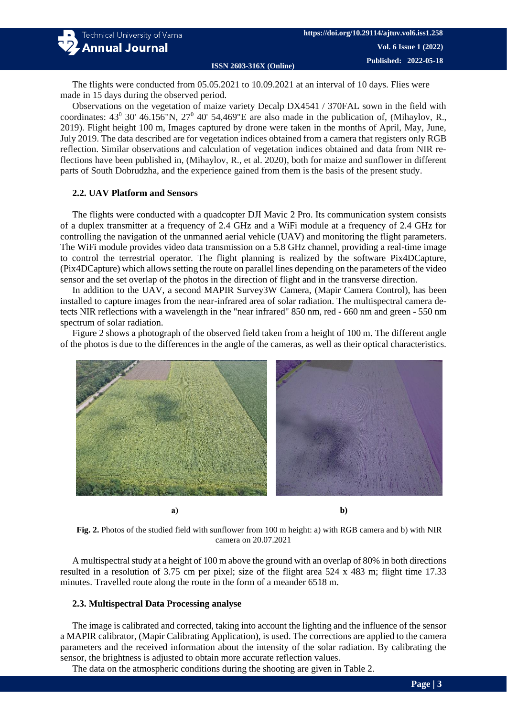The flights were conducted from 05.05.2021 to 10.09.2021 at an interval of 10 days. Flies were made in 15 days during the observed period.

Observations on the vegetation of maize variety Decalp DX4541 / 370FAL sown in the field with coordinates:  $43^{\circ}$  30'  $46.156$ "N,  $27^{\circ}$  40'  $54.469$ "E are also made in the publication of, (Mihaylov, R., 2019). Flight height 100 m, Images captured by drone were taken in the months of April, May, June, July 2019. The data described are for vegetation indices obtained from a camera that registers only RGB reflection. Similar observations and calculation of vegetation indices obtained and data from NIR reflections have been published in, (Mihaylov, R., et al. 2020), both for maize and sunflower in different parts of South Dobrudzha, and the experience gained from them is the basis of the present study.

# **2.2. UAV Platform and Sensors**

The flights were conducted with a quadcopter DJI Mavic 2 Pro. Its communication system consists of a duplex transmitter at a frequency of 2.4 GHz and a WiFi module at a frequency of 2.4 GHz for controlling the navigation of the unmanned aerial vehicle (UAV) and monitoring the flight parameters. The WiFi module provides video data transmission on a 5.8 GHz channel, providing a real-time image to control the terrestrial operator. The flight planning is realized by the software Pix4DCapture, (Pix4DCapture) which allows setting the route on parallel lines depending on the parameters of the video sensor and the set overlap of the photos in the direction of flight and in the transverse direction.

In addition to the UAV, a second MAPIR Survey3W Camera, (Mapir Camera Control), has been installed to capture images from the near-infrared area of solar radiation. The multispectral camera detects NIR reflections with a wavelength in the "near infrared" 850 nm, red - 660 nm and green - 550 nm spectrum of solar radiation.

Figure 2 shows a photograph of the observed field taken from a height of 100 m. The different angle of the photos is due to the differences in the angle of the cameras, as well as their optical characteristics.



**Fig. 2.** Photos of the studied field with sunflower from 100 m height: a) with RGB camera and b) with NIR camera on 20.07.2021

A multispectral study at a height of 100 m above the ground with an overlap of 80% in both directions resulted in a resolution of 3.75 cm per pixel; size of the flight area 524 x 483 m; flight time 17.33 minutes. Travelled route along the route in the form of a meander 6518 m.

# **2.3. Multispectral Data Processing analyse**

The image is calibrated and corrected, taking into account the lighting and the influence of the sensor a MAPIR calibrator, (Mapir Calibrating Application), is used. The corrections are applied to the camera parameters and the received information about the intensity of the solar radiation. By calibrating the sensor, the brightness is adjusted to obtain more accurate reflection values.

The data on the atmospheric conditions during the shooting are given in Table 2.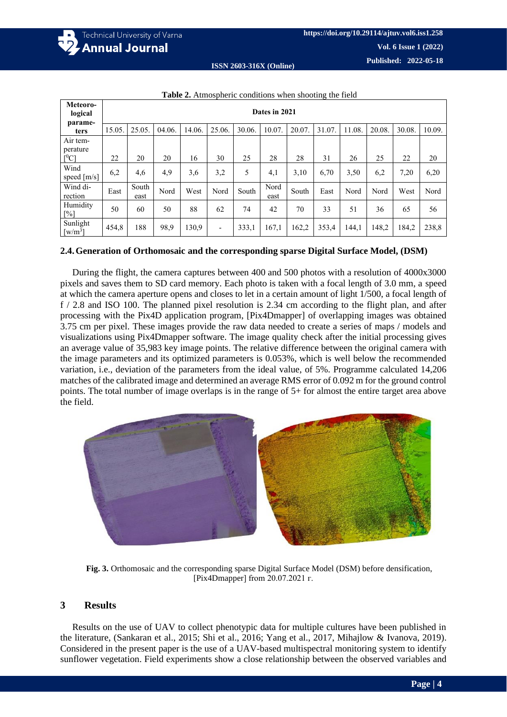

| Meteoro-<br>logical<br>parame-          | Dates in 2021 |               |        |        |                          |        |              |       |       |        |        |        |        |
|-----------------------------------------|---------------|---------------|--------|--------|--------------------------|--------|--------------|-------|-------|--------|--------|--------|--------|
| ters                                    | 15.05         | 25.05         | 04.06. | 14.06. | 25.06.                   | 30.06. | 10.07.       | 20.07 | 31.07 | 11.08. | 20.08. | 30.08. | 10.09. |
| Air tem-<br>perature<br>$[^{0}C]$       | 22            | 20            | 20     | 16     | 30                       | 25     | 28           | 28    | 31    | 26     | 25     | 22     | 20     |
| Wind<br>speed [m/s]                     | 6,2           | 4,6           | 4,9    | 3,6    | 3,2                      | 5      | 4,1          | 3,10  | 6,70  | 3,50   | 6,2    | 7,20   | 6,20   |
| Wind di-<br>rection                     | East          | South<br>east | Nord   | West   | Nord                     | South  | Nord<br>east | South | East  | Nord   | Nord   | West   | Nord   |
| Humidity<br>$\lceil\% \rceil$           | 50            | 60            | 50     | 88     | 62                       | 74     | 42           | 70    | 33    | 51     | 36     | 65     | 56     |
| Sunlight<br>$\left[\text{w/m}^3\right]$ | 454,8         | 188           | 98.9   | 130,9  | $\overline{\phantom{a}}$ | 333,1  | 167,1        | 162,2 | 353,4 | 144,1  | 148,2  | 184,2  | 238,8  |

**Table 2.** Atmospheric conditions when shooting the field

# **2.4.Generation of Orthomosaic and the corresponding sparse Digital Surface Model, (DSM)**

During the flight, the camera captures between 400 and 500 photos with a resolution of 4000x3000 pixels and saves them to SD card memory. Each photo is taken with a focal length of 3.0 mm, a speed at which the camera aperture opens and closes to let in a certain amount of light 1/500, a focal length of f / 2.8 and ISO 100. The planned pixel resolution is 2.34 cm according to the flight plan, and after processing with the Pix4D application program, [Pix4Dmapper] of overlapping images was obtained 3.75 cm per pixel. These images provide the raw data needed to create a series of maps / models and visualizations using Pix4Dmapper software. The image quality check after the initial processing gives an average value of 35,983 key image points. The relative difference between the original camera with the image parameters and its optimized parameters is 0.053%, which is well below the recommended variation, i.e., deviation of the parameters from the ideal value, of 5%. Programme calculated 14,206 matches of the calibrated image and determined an average RMS error of 0.092 m for the ground control points. The total number of image overlaps is in the range of 5+ for almost the entire target area above the field.



**Fig. 3.** Orthomosaic and the corresponding sparse Digital Surface Model (DSM) before densification, [Pix4Dmapper] from 20.07.2021 г.

### **3 Results**

Results on the use of UAV to collect phenotypic data for multiple cultures have been published in the literature, (Sankaran et al., 2015; Shi et al., 2016; Yang et al., 2017, Mihajlow & Ivanova, 2019). Considered in the present paper is the use of a UAV-based multispectral monitoring system to identify sunflower vegetation. Field experiments show a close relationship between the observed variables and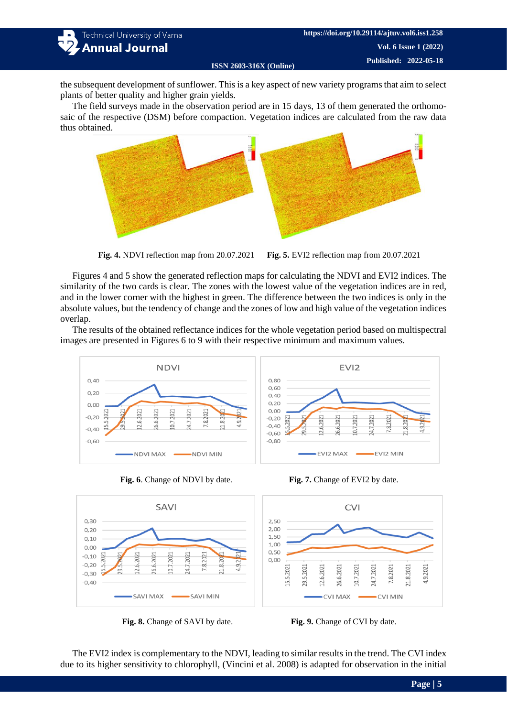Technical University of Varna **Annual Journal** 

the subsequent development of sunflower. This is a key aspect of new variety programs that aim to select plants of better quality and higher grain yields.

The field surveys made in the observation period are in 15 days, 13 of them generated the orthomosaic of the respective (DSM) before compaction. Vegetation indices are calculated from the raw data thus obtained.



**Fig. 4.** NDVI reflection map from 20.07.2021 **Fig. 5.** EVI2 reflection map from 20.07.2021

Figures 4 and 5 show the generated reflection maps for calculating the NDVI and EVI2 indices. The similarity of the two cards is clear. The zones with the lowest value of the vegetation indices are in red, and in the lower corner with the highest in green. The difference between the two indices is only in the absolute values, but the tendency of change and the zones of low and high value of the vegetation indices overlap.

The results of the obtained reflectance indices for the whole vegetation period based on multispectral images are presented in Figures 6 to 9 with their respective minimum and maximum values.









The EVI2 index is complementary to the NDVI, leading to similar results in the trend. The CVI index due to its higher sensitivity to chlorophyll, (Vincini et al. 2008) is adapted for observation in the initial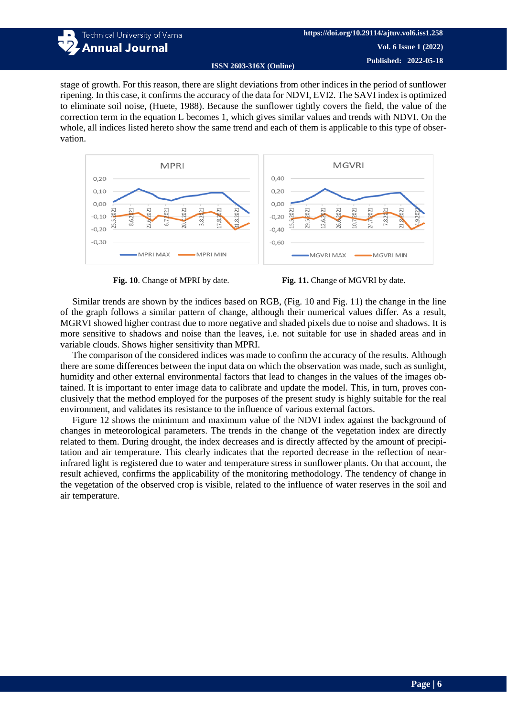

stage of growth. For this reason, there are slight deviations from other indices in the period of sunflower ripening. In this case, it confirms the accuracy of the data for NDVI, EVI2. The SAVI index is optimized to eliminate soil noise, (Huete, 1988). Because the sunflower tightly covers the field, the value of the correction term in the equation L becomes 1, which gives similar values and trends with NDVI. On the whole, all indices listed hereto show the same trend and each of them is applicable to this type of observation.



**Fig. 10**. Change of MPRI by date. **Fig. 11.** Change of MGVRI by date.

Similar trends are shown by the indices based on RGB, (Fig. 10 and Fig. 11) the change in the line of the graph follows a similar pattern of change, although their numerical values differ. As a result, MGRVI showed higher contrast due to more negative and shaded pixels due to noise and shadows. It is more sensitive to shadows and noise than the leaves, i.e. not suitable for use in shaded areas and in variable clouds. Shows higher sensitivity than MPRI.

The comparison of the considered indices was made to confirm the accuracy of the results. Although there are some differences between the input data on which the observation was made, such as sunlight, humidity and other external environmental factors that lead to changes in the values of the images obtained. It is important to enter image data to calibrate and update the model. This, in turn, proves conclusively that the method employed for the purposes of the present study is highly suitable for the real environment, and validates its resistance to the influence of various external factors.

Figure 12 shows the minimum and maximum value of the NDVI index against the background of changes in meteorological parameters. The trends in the change of the vegetation index are directly related to them. During drought, the index decreases and is directly affected by the amount of precipitation and air temperature. This clearly indicates that the reported decrease in the reflection of nearinfrared light is registered due to water and temperature stress in sunflower plants. On that account, the result achieved, confirms the applicability of the monitoring methodology. The tendency of change in the vegetation of the observed crop is visible, related to the influence of water reserves in the soil and air temperature.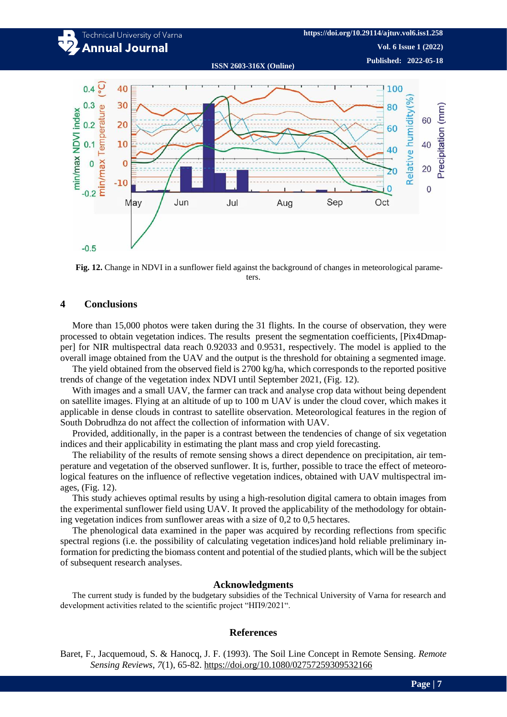

**Fig. 12.** Change in NDVI in a sunflower field against the background of changes in meteorological parameters.

#### **4 Conclusions**

More than 15,000 photos were taken during the 31 flights. In the course of observation, they were processed to obtain vegetation indices. The results present the segmentation coefficients, [Pix4Dmapper] for NIR multispectral data reach 0.92033 and 0.9531, respectively. The model is applied to the overall image obtained from the UAV and the output is the threshold for obtaining a segmented image.

The yield obtained from the observed field is 2700 kg/ha, which corresponds to the reported positive trends of change of the vegetation index NDVI until September 2021, (Fig. 12).

With images and a small UAV, the farmer can track and analyse crop data without being dependent on satellite images. Flying at an altitude of up to 100 m UAV is under the cloud cover, which makes it applicable in dense clouds in contrast to satellite observation. Meteorological features in the region of South Dobrudhza do not affect the collection of information with UAV.

Provided, additionally, in the paper is a contrast between the tendencies of change of six vegetation indices and their applicability in estimating the plant mass and crop yield forecasting.

The reliability of the results of remote sensing shows a direct dependence on precipitation, air temperature and vegetation of the observed sunflower. It is, further, possible to trace the effect of meteorological features on the influence of reflective vegetation indices, obtained with UAV multispectral images, (Fig. 12).

This study achieves optimal results by using a high-resolution digital camera to obtain images from the experimental sunflower field using UAV. It proved the applicability of the methodology for obtaining vegetation indices from sunflower areas with a size of 0,2 to 0,5 hectares.

The phenological data examined in the paper was acquired by recording reflections from specific spectral regions (i.e. the possibility of calculating vegetation indices)and hold reliable preliminary information for predicting the biomass content and potential of the studied plants, which will be the subject of subsequent research analyses.

#### **Acknowledgments**

The current study is funded by the budgetary subsidies of the Technical University of Varna for research and development activities related to the scientific project "НП9/2021".

#### **References**

Baret, F., Jacquemoud, S. & Hanocq, J. F. (1993). The Soil Line Concept in Remote Sensing. *Remote Sensing Reviews*, *7*(1), 65-82. <https://doi.org/10.1080/02757259309532166>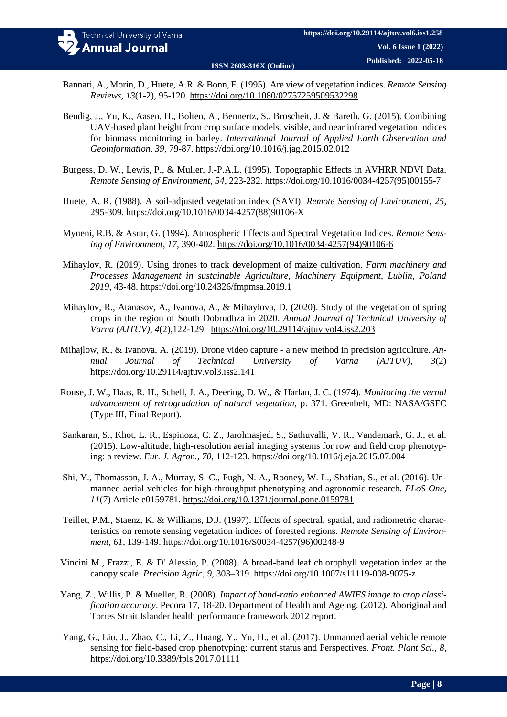- Bannari, A., Morin, D., Huete, A.R. & Bonn, F. (1995). Are view of vegetation indices. *Remote Sensing Reviews, 13*(1-2)*,* 95-120. <https://doi.org/10.1080/02757259509532298>
- Bendig, J., Yu, K., Aasen, H., Bolten, A., Bennertz, S., Broscheit, J. & Bareth, G. (2015). Combining UAV-based plant height from crop surface models, visible, and near infrared vegetation indices for biomass monitoring in barley. *International Journal of Applied Earth Observation and Geoinformation*, *39*, 79-87. <https://doi.org/10.1016/j.jag.2015.02.012>
- Burgess, D. W., Lewis, P., & Muller, J.-P.A.L. (1995). Topographic Effects in AVHRR NDVI Data. *Remote Sensing of Environment*, *54*, 223-232. [https://doi.org/10.1016/0034-4257\(95\)00155-7](https://doi.org/10.1016/0034-4257(95)00155-7)
- Huete, A. R. (1988). A soil-adjusted vegetation index (SAVI). *Remote Sensing of Environment*, *25*, 295-309. [https://doi.org/10.1016/0034-4257\(88\)90106-X](https://doi.org/10.1016/0034-4257(88)90106-X)
- Myneni, R.B. & Asrar, G. (1994). Atmospheric Effects and Spectral Vegetation Indices. *Remote Sensing of Environment*, *17*, 390-402. [https://doi.org/10.1016/0034-4257\(94\)90106-6](https://doi.org/10.1016/0034-4257(94)90106-6)
- Mihaylov, R. (2019). Using drones to track development of maize cultivation. *Farm machinery and Processes Management in sustainable Agriculture, Machinery Equipment, Lublin, Poland 2019*, 43-48.<https://doi.org/10.24326/fmpmsa.2019.1>
- Mihaylov, R., Atanasov, A., Ivanova, A., & Mihaylova, D. (2020). Study of the vegetation of spring crops in the region of South Dobrudhza in 2020. *Annual Journal of Technical University of Varna (AJTUV)*, *4*(2),122-129. <https://doi.org/10.29114/ajtuv.vol4.iss2.203>
- Mihajlow, R., & Ivanova, A. (2019). Drone video capture a new method in precision agriculture. *Annual Journal of Technical University of Varna (AJTUV), 3*(2) <https://doi.org/10.29114/ajtuv.vol3.iss2.141>
- Rouse, J. W., Haas, R. H., Schell, J. A., Deering, D. W., & Harlan, J. C. (1974). *Monitoring the vernal advancement of retrogradation of natural vegetation,* p. 371. Greenbelt, MD: NASA/GSFC (Type III, Final Report).
- Sankaran, S., Khot, L. R., Espinoza, C. Z., Jarolmasjed, S., Sathuvalli, V. R., Vandemark, G. J., et al. (2015). Low-altitude, high-resolution aerial imaging systems for row and field crop phenotyping: a review. *Eur. J. Agron.*, *70*, 112-123.<https://doi.org/10.1016/j.eja.2015.07.004>
- Shi, Y., Thomasson, J. A., Murray, S. C., Pugh, N. A., Rooney, W. L., Shafian, S., et al. (2016). Unmanned aerial vehicles for high-throughput phenotyping and agronomic research. *PLoS One, 11*(7) Article e0159781.<https://doi.org/10.1371/journal.pone.0159781>
- Teillet, P.M., Staenz, K. & Williams, D.J. (1997). Effects of spectral, spatial, and radiometric characteristics on remote sensing vegetation indices of forested regions. *Remote Sensing of Environment, 61*, 139-149. [https://doi.org/10.1016/S0034-4257\(96\)00248-9](https://doi.org/10.1016/S0034-4257(96)00248-9)
- Vincini M., Frazzi, E. & D' Alessio, P. (2008). A broad-band leaf chlorophyll vegetation index at the canopy scale. *Precision Agric, 9*, 303–319.<https://doi.org/10.1007/s11119-008-9075-z>
- Yang, Z., Willis, P. & Mueller, R. (2008). *Impact of band-ratio enhanced AWIFS image to crop classification accuracy*. Pecora 17, 18-20. Department of Health and Ageing. (2012). Aboriginal and Torres Strait Islander health performance framework 2012 report.
- Yang, G., Liu, J., Zhao, C., Li, Z., Huang, Y., Yu, H., et al. (2017). Unmanned aerial vehicle remote sensing for field-based crop phenotyping: current status and Perspectives. *Front. Plant Sci.*, *8*, <https://doi.org/10.3389/fpls.2017.01111>